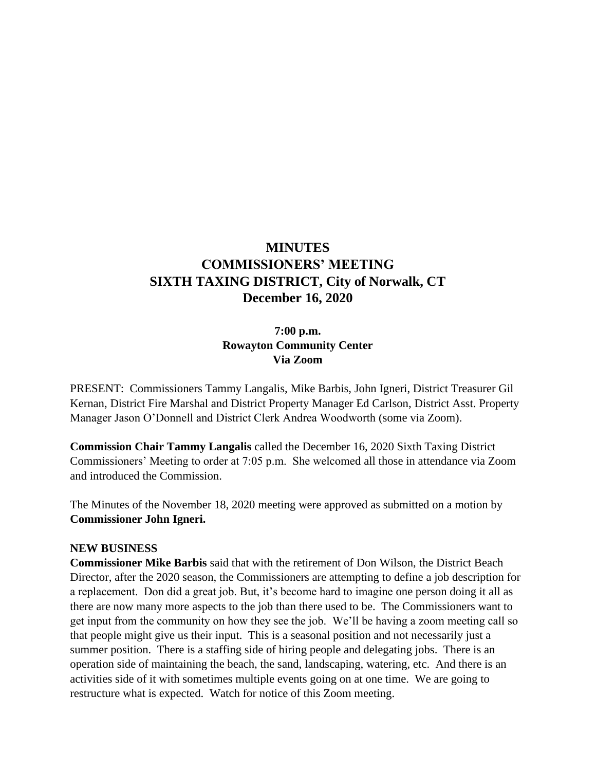# **MINUTES COMMISSIONERS' MEETING SIXTH TAXING DISTRICT, City of Norwalk, CT December 16, 2020**

### **7:00 p.m. Rowayton Community Center Via Zoom**

PRESENT: Commissioners Tammy Langalis, Mike Barbis, John Igneri, District Treasurer Gil Kernan, District Fire Marshal and District Property Manager Ed Carlson, District Asst. Property Manager Jason O'Donnell and District Clerk Andrea Woodworth (some via Zoom).

**Commission Chair Tammy Langalis** called the December 16, 2020 Sixth Taxing District Commissioners' Meeting to order at 7:05 p.m. She welcomed all those in attendance via Zoom and introduced the Commission.

The Minutes of the November 18, 2020 meeting were approved as submitted on a motion by **Commissioner John Igneri.**

#### **NEW BUSINESS**

**Commissioner Mike Barbis** said that with the retirement of Don Wilson, the District Beach Director, after the 2020 season, the Commissioners are attempting to define a job description for a replacement. Don did a great job. But, it's become hard to imagine one person doing it all as there are now many more aspects to the job than there used to be. The Commissioners want to get input from the community on how they see the job. We'll be having a zoom meeting call so that people might give us their input. This is a seasonal position and not necessarily just a summer position. There is a staffing side of hiring people and delegating jobs. There is an operation side of maintaining the beach, the sand, landscaping, watering, etc. And there is an activities side of it with sometimes multiple events going on at one time. We are going to restructure what is expected. Watch for notice of this Zoom meeting.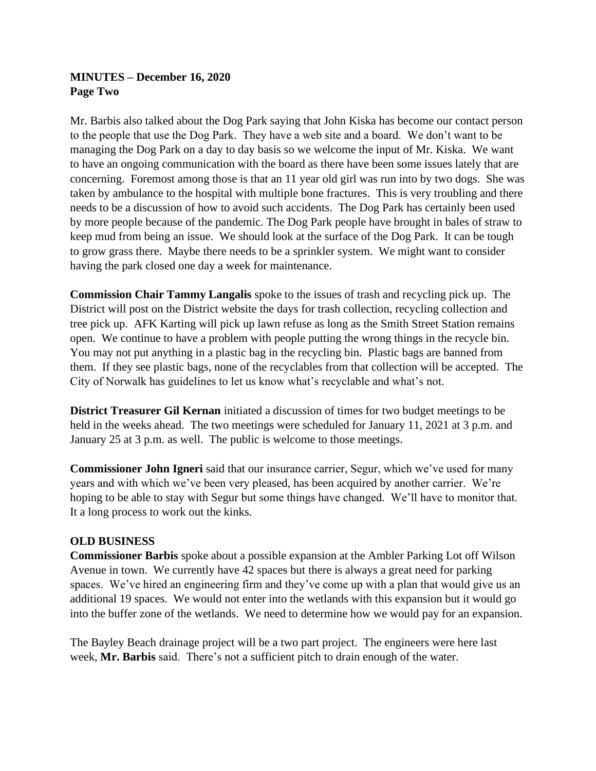# **MINUTES – December 16, 2020 Page Two**

Mr. Barbis also talked about the Dog Park saying that John Kiska has become our contact person to the people that use the Dog Park. They have a web site and a board. We don't want to be managing the Dog Park on a day to day basis so we welcome the input of Mr. Kiska. We want to have an ongoing communication with the board as there have been some issues lately that are concerning. Foremost among those is that an 11 year old girl was run into by two dogs. She was taken by ambulance to the hospital with multiple bone fractures. This is very troubling and there needs to be a discussion of how to avoid such accidents. The Dog Park has certainly been used by more people because of the pandemic. The Dog Park people have brought in bales of straw to keep mud from being an issue. We should look at the surface of the Dog Park. It can be tough to grow grass there. Maybe there needs to be a sprinkler system. We might want to consider having the park closed one day a week for maintenance.

**Commission Chair Tammy Langalis** spoke to the issues of trash and recycling pick up. The District will post on the District website the days for trash collection, recycling collection and tree pick up. AFK Karting will pick up lawn refuse as long as the Smith Street Station remains open. We continue to have a problem with people putting the wrong things in the recycle bin. You may not put anything in a plastic bag in the recycling bin. Plastic bags are banned from them. If they see plastic bags, none of the recyclables from that collection will be accepted. The City of Norwalk has guidelines to let us know what's recyclable and what's not.

**District Treasurer Gil Kernan** initiated a discussion of times for two budget meetings to be held in the weeks ahead. The two meetings were scheduled for January 11, 2021 at 3 p.m. and January 25 at 3 p.m. as well. The public is welcome to those meetings.

**Commissioner John Igneri** said that our insurance carrier, Segur, which we've used for many years and with which we've been very pleased, has been acquired by another carrier. We're hoping to be able to stay with Segur but some things have changed. We'll have to monitor that. It a long process to work out the kinks.

### **OLD BUSINESS**

**Commissioner Barbis** spoke about a possible expansion at the Ambler Parking Lot off Wilson Avenue in town. We currently have 42 spaces but there is always a great need for parking spaces. We've hired an engineering firm and they've come up with a plan that would give us an additional 19 spaces. We would not enter into the wetlands with this expansion but it would go into the buffer zone of the wetlands. We need to determine how we would pay for an expansion.

The Bayley Beach drainage project will be a two part project. The engineers were here last week, **Mr. Barbis** said. There's not a sufficient pitch to drain enough of the water.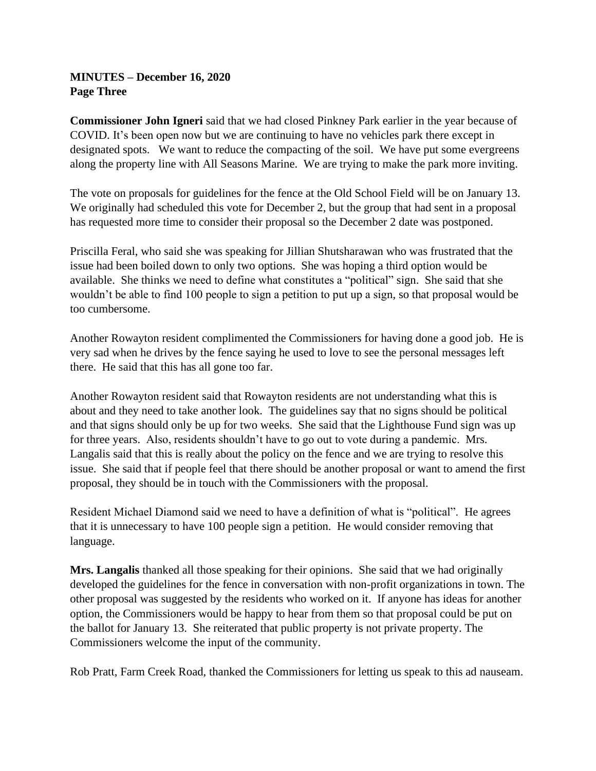### **MINUTES – December 16, 2020 Page Three**

**Commissioner John Igneri** said that we had closed Pinkney Park earlier in the year because of COVID. It's been open now but we are continuing to have no vehicles park there except in designated spots. We want to reduce the compacting of the soil. We have put some evergreens along the property line with All Seasons Marine. We are trying to make the park more inviting.

The vote on proposals for guidelines for the fence at the Old School Field will be on January 13. We originally had scheduled this vote for December 2, but the group that had sent in a proposal has requested more time to consider their proposal so the December 2 date was postponed.

Priscilla Feral, who said she was speaking for Jillian Shutsharawan who was frustrated that the issue had been boiled down to only two options. She was hoping a third option would be available. She thinks we need to define what constitutes a "political" sign. She said that she wouldn't be able to find 100 people to sign a petition to put up a sign, so that proposal would be too cumbersome.

Another Rowayton resident complimented the Commissioners for having done a good job. He is very sad when he drives by the fence saying he used to love to see the personal messages left there. He said that this has all gone too far.

Another Rowayton resident said that Rowayton residents are not understanding what this is about and they need to take another look. The guidelines say that no signs should be political and that signs should only be up for two weeks. She said that the Lighthouse Fund sign was up for three years. Also, residents shouldn't have to go out to vote during a pandemic. Mrs. Langalis said that this is really about the policy on the fence and we are trying to resolve this issue. She said that if people feel that there should be another proposal or want to amend the first proposal, they should be in touch with the Commissioners with the proposal.

Resident Michael Diamond said we need to have a definition of what is "political". He agrees that it is unnecessary to have 100 people sign a petition. He would consider removing that language.

**Mrs. Langalis** thanked all those speaking for their opinions. She said that we had originally developed the guidelines for the fence in conversation with non-profit organizations in town. The other proposal was suggested by the residents who worked on it. If anyone has ideas for another option, the Commissioners would be happy to hear from them so that proposal could be put on the ballot for January 13. She reiterated that public property is not private property. The Commissioners welcome the input of the community.

Rob Pratt, Farm Creek Road, thanked the Commissioners for letting us speak to this ad nauseam.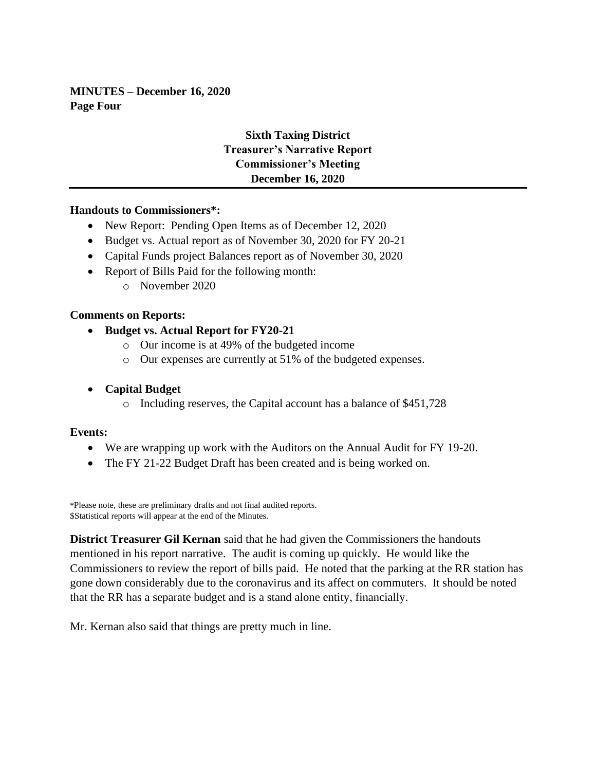**MINUTES – December 16, 2020 Page Four**

# **Sixth Taxing District Treasurer's Narrative Report Commissioner's Meeting December 16, 2020**

#### **Handouts to Commissioners\*:**

- New Report: Pending Open Items as of December 12, 2020
- Budget vs. Actual report as of November 30, 2020 for FY 20-21
- Capital Funds project Balances report as of November 30, 2020
- Report of Bills Paid for the following month:
	- o November 2020

#### **Comments on Reports:**

- **Budget vs. Actual Report for FY20-21**
	- o Our income is at 49% of the budgeted income
	- o Our expenses are currently at 51% of the budgeted expenses.
- **Capital Budget**
	- o Including reserves, the Capital account has a balance of \$451,728

#### **Events:**

- We are wrapping up work with the Auditors on the Annual Audit for FY 19-20.
- The FY 21-22 Budget Draft has been created and is being worked on.

\*Please note, these are preliminary drafts and not final audited reports. \$Statistical reports will appear at the end of the Minutes.

**District Treasurer Gil Kernan** said that he had given the Commissioners the handouts mentioned in his report narrative. The audit is coming up quickly. He would like the Commissioners to review the report of bills paid. He noted that the parking at the RR station has gone down considerably due to the coronavirus and its affect on commuters. It should be noted that the RR has a separate budget and is a stand alone entity, financially.

Mr. Kernan also said that things are pretty much in line.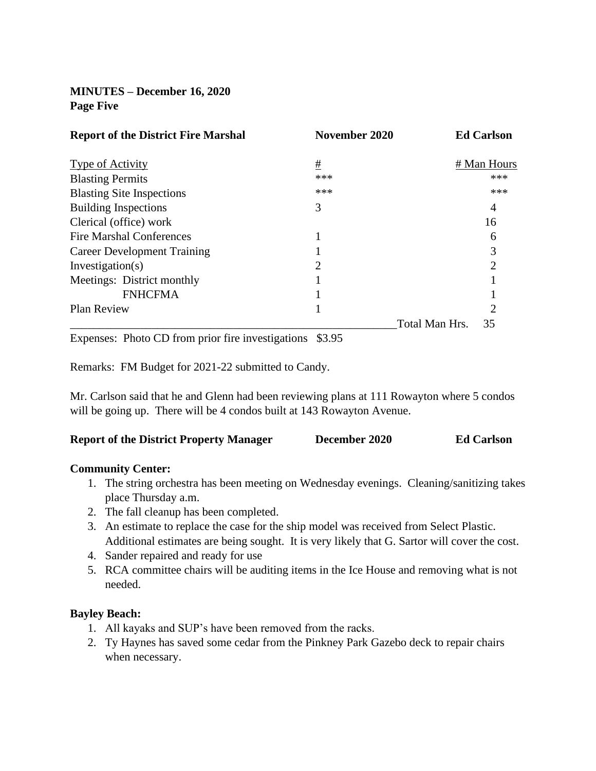**MINUTES – December 16, 2020 Page Five**

| <b>Report of the District Fire Marshal</b>        | November 2020 |                | <b>Ed Carlson</b> |
|---------------------------------------------------|---------------|----------------|-------------------|
| Type of Activity                                  | #             |                | # Man Hours       |
| <b>Blasting Permits</b>                           | ***           |                | ***               |
| <b>Blasting Site Inspections</b>                  | ***           |                | ***               |
| <b>Building Inspections</b>                       | 3             |                | 4                 |
| Clerical (office) work                            |               |                | 16                |
| <b>Fire Marshal Conferences</b>                   |               |                | 6                 |
| <b>Career Development Training</b>                |               |                | 3                 |
| Investigation(s)                                  | 2             |                | 2                 |
| Meetings: District monthly                        |               |                |                   |
| <b>FNHCFMA</b>                                    |               |                |                   |
| Plan Review                                       |               |                | 2                 |
|                                                   |               | Total Man Hrs. | 35                |
| Expenses: Photo CD from prior fire investigations | \$3.95        |                |                   |

Remarks: FM Budget for 2021-22 submitted to Candy.

Mr. Carlson said that he and Glenn had been reviewing plans at 111 Rowayton where 5 condos will be going up. There will be 4 condos built at 143 Rowayton Avenue.

| <b>Report of the District Property Manager</b> | <b>Ed Carlson</b><br>December 2020 |
|------------------------------------------------|------------------------------------|
|------------------------------------------------|------------------------------------|

#### **Community Center:**

- 1. The string orchestra has been meeting on Wednesday evenings. Cleaning/sanitizing takes place Thursday a.m.
- 2. The fall cleanup has been completed.
- 3. An estimate to replace the case for the ship model was received from Select Plastic. Additional estimates are being sought. It is very likely that G. Sartor will cover the cost.
- 4. Sander repaired and ready for use
- 5. RCA committee chairs will be auditing items in the Ice House and removing what is not needed.

### **Bayley Beach:**

- 1. All kayaks and SUP's have been removed from the racks.
- 2. Ty Haynes has saved some cedar from the Pinkney Park Gazebo deck to repair chairs when necessary.